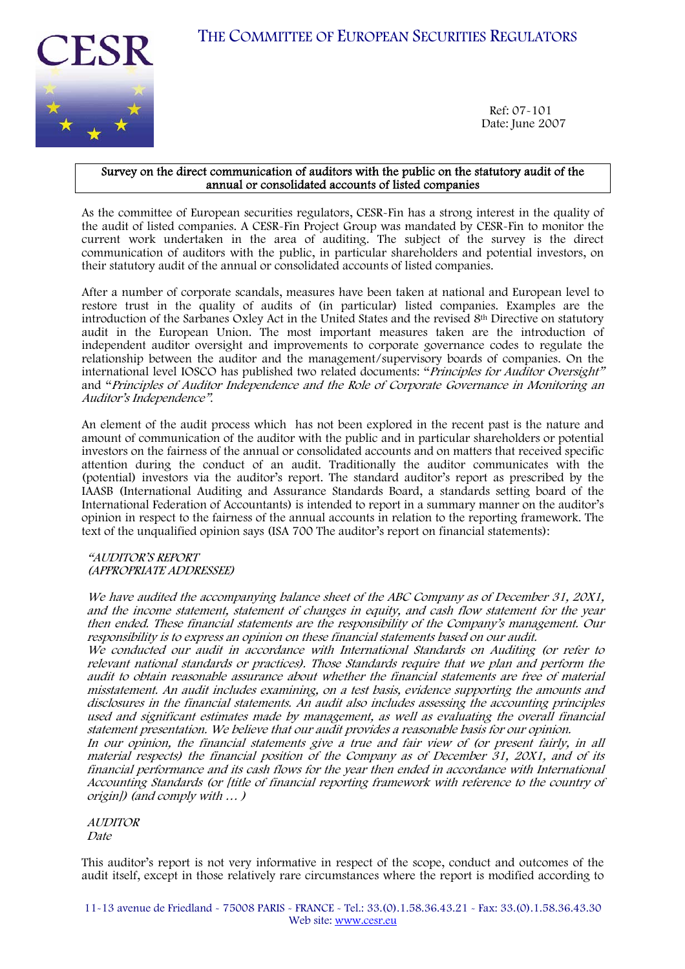THE COMMITTEE OF EUROPEAN SECURITIES REGULATORS



Ref: 07-101 Date: June 2007

### Survey on the direct communication of auditors with the public on the statutory audit of the annual or consolidated accounts of listed companies

As the committee of European securities regulators, CESR-Fin has a strong interest in the quality of the audit of listed companies. A CESR-Fin Project Group was mandated by CESR-Fin to monitor the current work undertaken in the area of auditing. The subject of the survey is the direct communication of auditors with the public, in particular shareholders and potential investors, on their statutory audit of the annual or consolidated accounts of listed companies.

After a number of corporate scandals, measures have been taken at national and European level to restore trust in the quality of audits of (in particular) listed companies. Examples are the introduction of the Sarbanes Oxley Act in the United States and the revised 8th Directive on statutory audit in the European Union. The most important measures taken are the introduction of independent auditor oversight and improvements to corporate governance codes to regulate the relationship between the auditor and the management/supervisory boards of companies. On the international level IOSCO has published two related documents: "Principles for Auditor Oversight" and "Principles of Auditor Independence and the Role of Corporate Governance in Monitoring an Auditor's Independence".

An element of the audit process which has not been explored in the recent past is the nature and amount of communication of the auditor with the public and in particular shareholders or potential investors on the fairness of the annual or consolidated accounts and on matters that received specific attention during the conduct of an audit. Traditionally the auditor communicates with the (potential) investors via the auditor's report. The standard auditor's report as prescribed by the IAASB (International Auditing and Assurance Standards Board, a standards setting board of the International Federation of Accountants) is intended to report in a summary manner on the auditor's opinion in respect to the fairness of the annual accounts in relation to the reporting framework. The text of the unqualified opinion says (ISA 700 The auditor's report on financial statements):

"AUDITOR'S REPORT (APPROPRIATE ADDRESSEE)

We have audited the accompanying balance sheet of the ABC Company as of December 31, 20X1, and the income statement, statement of changes in equity, and cash flow statement for the year then ended. These financial statements are the responsibility of the Company's management. Our responsibility is to express an opinion on these financial statements based on our audit.

We conducted our audit in accordance with International Standards on Auditing (or refer to relevant national standards or practices). Those Standards require that we plan and perform the audit to obtain reasonable assurance about whether the financial statements are free of material misstatement. An audit includes examining, on a test basis, evidence supporting the amounts and disclosures in the financial statements. An audit also includes assessing the accounting principles used and significant estimates made by management, as well as evaluating the overall financial statement presentation. We believe that our audit provides a reasonable basis for our opinion.

In our opinion, the financial statements give a true and fair view of (or present fairly, in all material respects) the financial position of the Company as of December 31, 20X1, and of its financial performance and its cash flows for the year then ended in accordance with International Accounting Standards (or [title of financial reporting framework with reference to the country of origin]) (and comply with … )

**AUDITOR** 

Date

This auditor's report is not very informative in respect of the scope, conduct and outcomes of the audit itself, except in those relatively rare circumstances where the report is modified according to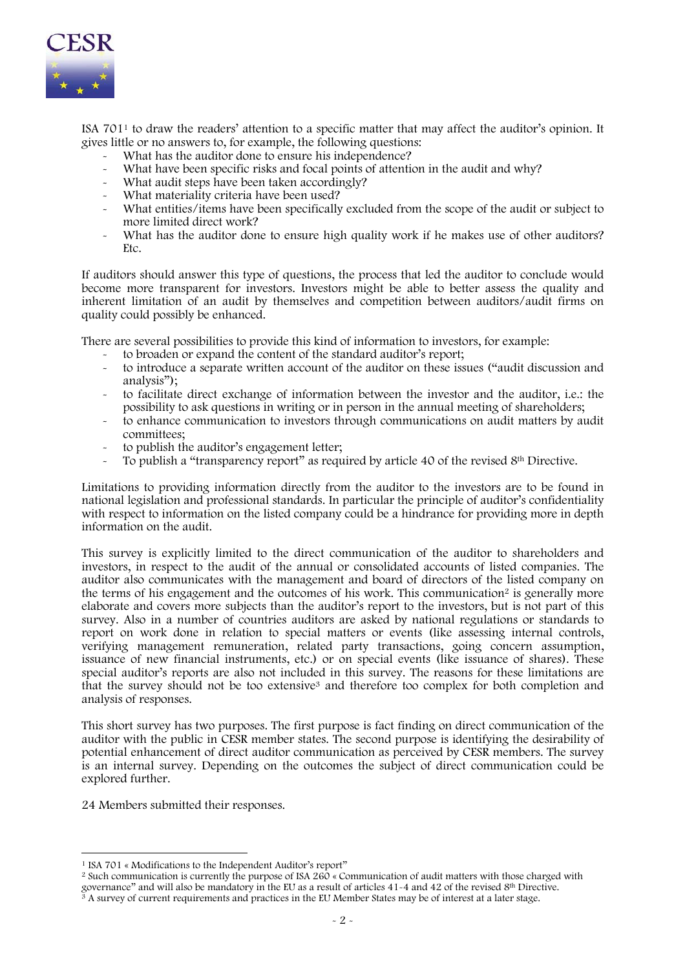

ISA 7011 to draw the readers' attention to a specific matter that may affect the auditor's opinion. It gives little or no answers to, for example, the following questions:

- What has the auditor done to ensure his independence?
- What have been specific risks and focal points of attention in the audit and why?
- What audit steps have been taken accordingly?
- What materiality criteria have been used?
- What entities/items have been specifically excluded from the scope of the audit or subject to more limited direct work?
- What has the auditor done to ensure high quality work if he makes use of other auditors? Etc.

If auditors should answer this type of questions, the process that led the auditor to conclude would become more transparent for investors. Investors might be able to better assess the quality and inherent limitation of an audit by themselves and competition between auditors/audit firms on quality could possibly be enhanced.

There are several possibilities to provide this kind of information to investors, for example:

- to broaden or expand the content of the standard auditor's report;
- to introduce a separate written account of the auditor on these issues ("audit discussion and analysis");
- to facilitate direct exchange of information between the investor and the auditor, i.e.: the possibility to ask questions in writing or in person in the annual meeting of shareholders;
- to enhance communication to investors through communications on audit matters by audit committees;
- to publish the auditor's engagement letter;
- $\sim$  To publish a "transparency report" as required by article 40 of the revised 8<sup>th</sup> Directive.

Limitations to providing information directly from the auditor to the investors are to be found in national legislation and professional standards. In particular the principle of auditor's confidentiality with respect to information on the listed company could be a hindrance for providing more in depth information on the audit.

This survey is explicitly limited to the direct communication of the auditor to shareholders and investors, in respect to the audit of the annual or consolidated accounts of listed companies. The auditor also communicates with the management and board of directors of the listed company on the terms of his engagement and the outcomes of his work. This communication<sup>2</sup> is generally more elaborate and covers more subjects than the auditor's report to the investors, but is not part of this survey. Also in a number of countries auditors are asked by national regulations or standards to report on work done in relation to special matters or events (like assessing internal controls, verifying management remuneration, related party transactions, going concern assumption, issuance of new financial instruments, etc.) or on special events (like issuance of shares). These special auditor's reports are also not included in this survey. The reasons for these limitations are that the survey should not be too extensive3 and therefore too complex for both completion and analysis of responses.

This short survey has two purposes. The first purpose is fact finding on direct communication of the auditor with the public in CESR member states. The second purpose is identifying the desirability of potential enhancement of direct auditor communication as perceived by CESR members. The survey is an internal survey. Depending on the outcomes the subject of direct communication could be explored further.

24 Members submitted their responses.

<sup>&</sup>lt;sup>1</sup> ISA 701 « Modifications to the Independent Auditor's report"

<sup>&</sup>lt;sup>2</sup> Such communication is currently the purpose of ISA 260 « Communication of audit matters with those charged with governance" and will also be mandatory in the EU as a result of articles 41-4 and 42 of the revised 8<sup>th</sup>

 $\frac{3}{3}$  A survey of current requirements and practices in the EU Member States may be of interest at a later stage.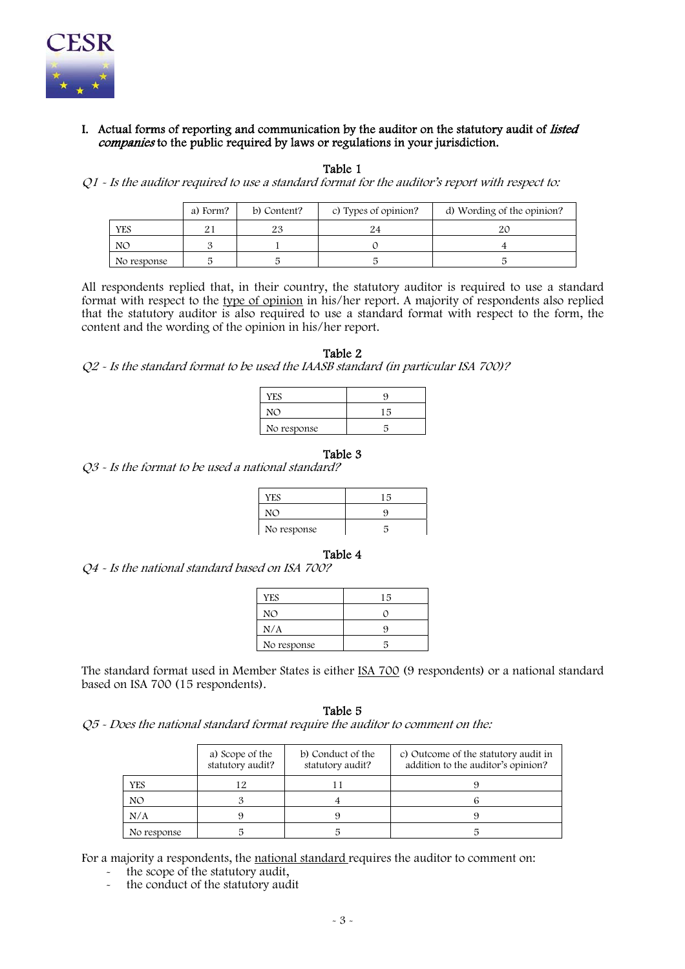

# I. Actual forms of reporting and communication by the auditor on the statutory audit of listed companies to the public required by laws or regulations in your jurisdiction.

Table 1

 $Q1$  - Is the auditor required to use a standard format for the auditor's report with respect to:

|             | a) Form? | b) Content? | c) Types of opinion? | d) Wording of the opinion? |
|-------------|----------|-------------|----------------------|----------------------------|
| YES         |          | ∠⊾          |                      |                            |
| NO          |          |             |                      |                            |
| No response |          |             |                      |                            |

All respondents replied that, in their country, the statutory auditor is required to use a standard format with respect to the type of opinion in his/her report. A majority of respondents also replied that the statutory auditor is also required to use a standard format with respect to the form, the content and the wording of the opinion in his/her report.

Table 2

Q2 - Is the standard format to be used the IAASB standard (in particular ISA 700)?

| <b>YES</b>  | Q   |
|-------------|-----|
| NN          | 1 局 |
| No response |     |

#### Table 3

Q3 - Is the format to be used a national standard?

| <b>YES</b>  | 15 |
|-------------|----|
|             | c  |
| No response |    |

#### Table 4

Q4 - Is the national standard based on ISA 700?

| <b>YES</b>  | 15 |
|-------------|----|
| NO          |    |
| N/A         |    |
| No response |    |

The standard format used in Member States is either ISA 700 (9 respondents) or a national standard based on ISA 700 (15 respondents).

Table 5

Q5 - Does the national standard format require the auditor to comment on the:

|             | a) Scope of the<br>statutory audit? | b) Conduct of the<br>statutory audit? | c) Outcome of the statutory audit in<br>addition to the auditor's opinion? |
|-------------|-------------------------------------|---------------------------------------|----------------------------------------------------------------------------|
| <b>YES</b>  | 12                                  |                                       |                                                                            |
| NO          |                                     |                                       |                                                                            |
| N/A         |                                     |                                       |                                                                            |
| No response |                                     |                                       |                                                                            |

For a majority a respondents, the national standard requires the auditor to comment on:

- the scope of the statutory audit,
- the conduct of the statutory audit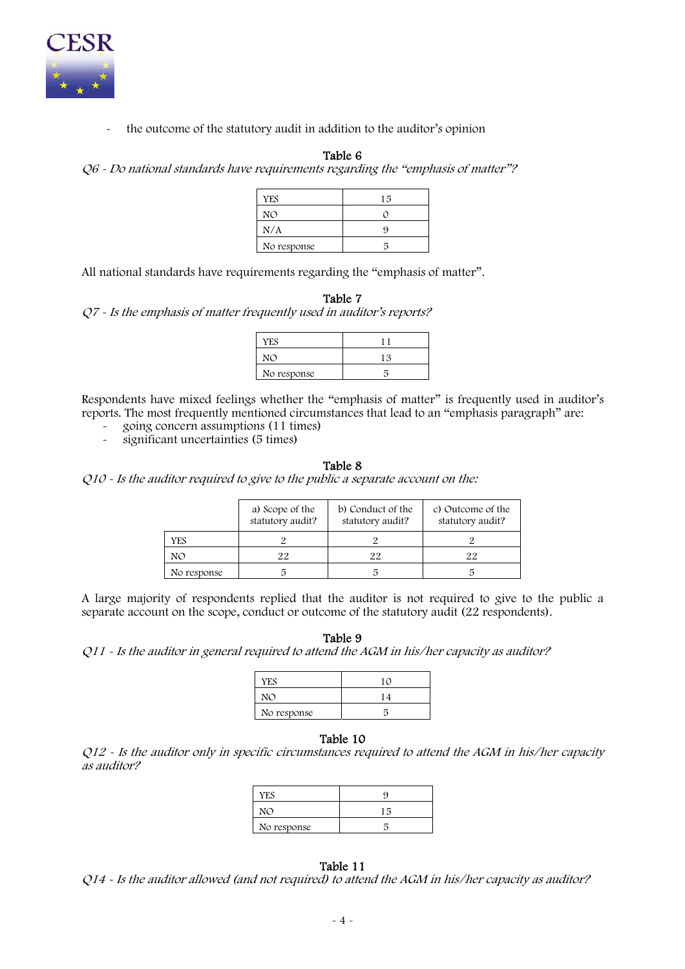

the outcome of the statutory audit in addition to the auditor's opinion

# Table 6

Q6 - Do national standards have requirements regarding the "emphasis of matter"?

| <b>YES</b>  | 15 |
|-------------|----|
| NO          |    |
| N/A         |    |
| No response |    |

All national standards have requirements regarding the "emphasis of matter".

| Table 7                                                              |  |
|----------------------------------------------------------------------|--|
| Q7 - Is the emphasis of matter frequently used in auditor's reports? |  |
|                                                                      |  |

| YES         |    |
|-------------|----|
|             | 12 |
| No response |    |

Respondents have mixed feelings whether the "emphasis of matter" is frequently used in auditor's reports. The most frequently mentioned circumstances that lead to an "emphasis paragraph" are:

- going concern assumptions (11 times)

significant uncertainties (5 times)

#### Table 8

Q10 - Is the auditor required to give to the public a separate account on the:

|             | a) Scope of the<br>statutory audit? | b) Conduct of the<br>statutory audit? | c) Outcome of the<br>statutory audit? |
|-------------|-------------------------------------|---------------------------------------|---------------------------------------|
| YES         |                                     |                                       |                                       |
| NO          |                                     | 22                                    | 22                                    |
| No response |                                     |                                       |                                       |

A large majority of respondents replied that the auditor is not required to give to the public a separate account on the scope, conduct or outcome of the statutory audit (22 respondents).

Table 9

Q11 - Is the auditor in general required to attend the AGM in his/her capacity as auditor?

| <b>YES</b>  | 10 |
|-------------|----|
| NO          | 14 |
| No response |    |

### Table 10

Q12 - Is the auditor only in specific circumstances required to attend the AGM in his/her capacity as auditor?

| YES         |     |
|-------------|-----|
| NC          | 1 ឆ |
| No response |     |

# Table 11

Q14 - Is the auditor allowed (and not required) to attend the AGM in his/her capacity as auditor?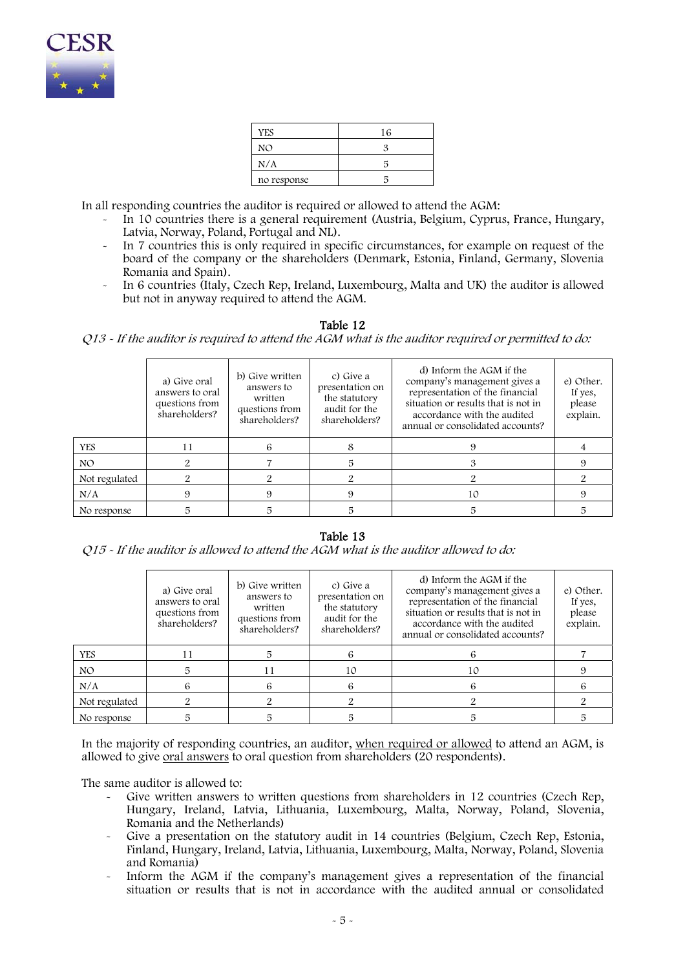

| <b>YES</b>  | 16 |
|-------------|----|
| NO          |    |
| N/A         | ц  |
| no response |    |

In all responding countries the auditor is required or allowed to attend the AGM:

- In 10 countries there is a general requirement (Austria, Belgium, Cyprus, France, Hungary, Latvia, Norway, Poland, Portugal and NL).
- In 7 countries this is only required in specific circumstances, for example on request of the board of the company or the shareholders (Denmark, Estonia, Finland, Germany, Slovenia Romania and Spain).
- In 6 countries (Italy, Czech Rep, Ireland, Luxembourg, Malta and UK) the auditor is allowed but not in anyway required to attend the AGM.

### Table 12

Q13 - If the auditor is required to attend the AGM what is the auditor required or permitted to do:

|               | a) Give oral<br>answers to oral<br>questions from<br>shareholders? | b) Give written<br>answers to<br>written<br>questions from<br>shareholders? | c) Give a<br>presentation on<br>the statutory<br>audit for the<br>shareholders? | d) Inform the AGM if the<br>company's management gives a<br>representation of the financial<br>situation or results that is not in<br>accordance with the audited<br>annual or consolidated accounts? | e) Other.<br>If yes,<br>please<br>explain. |
|---------------|--------------------------------------------------------------------|-----------------------------------------------------------------------------|---------------------------------------------------------------------------------|-------------------------------------------------------------------------------------------------------------------------------------------------------------------------------------------------------|--------------------------------------------|
| YES.          | 11                                                                 | ь                                                                           | 8                                                                               |                                                                                                                                                                                                       |                                            |
| NO.           |                                                                    |                                                                             | 5                                                                               |                                                                                                                                                                                                       |                                            |
| Not regulated |                                                                    |                                                                             |                                                                                 |                                                                                                                                                                                                       |                                            |
| N/A           |                                                                    |                                                                             | 9                                                                               | 10                                                                                                                                                                                                    |                                            |
| No response   |                                                                    |                                                                             | 5                                                                               | 5                                                                                                                                                                                                     |                                            |

# Table 13

Q15 - If the auditor is allowed to attend the AGM what is the auditor allowed to do:

|               | a) Give oral<br>answers to oral<br>questions from<br>shareholders? | b) Give written<br>answers to<br>written<br>questions from<br>shareholders? | c) Give a<br>presentation on<br>the statutory<br>audit for the<br>shareholders? | d) Inform the AGM if the<br>company's management gives a<br>representation of the financial<br>situation or results that is not in<br>accordance with the audited<br>annual or consolidated accounts? | e) Other.<br>If yes,<br>please<br>explain. |
|---------------|--------------------------------------------------------------------|-----------------------------------------------------------------------------|---------------------------------------------------------------------------------|-------------------------------------------------------------------------------------------------------------------------------------------------------------------------------------------------------|--------------------------------------------|
| YES.          |                                                                    |                                                                             | 6                                                                               |                                                                                                                                                                                                       |                                            |
| NO.           |                                                                    | 11                                                                          | 10                                                                              | 10                                                                                                                                                                                                    |                                            |
| N/A           |                                                                    | 6                                                                           | 6                                                                               |                                                                                                                                                                                                       |                                            |
| Not regulated |                                                                    |                                                                             |                                                                                 |                                                                                                                                                                                                       |                                            |
| No response   | 5                                                                  |                                                                             |                                                                                 |                                                                                                                                                                                                       |                                            |

In the majority of responding countries, an auditor, when required or allowed to attend an AGM, is allowed to give oral answers to oral question from shareholders (20 respondents).

The same auditor is allowed to:

- Give written answers to written questions from shareholders in 12 countries (Czech Rep, Hungary, Ireland, Latvia, Lithuania, Luxembourg, Malta, Norway, Poland, Slovenia, Romania and the Netherlands)
- Give a presentation on the statutory audit in 14 countries (Belgium, Czech Rep, Estonia, Finland, Hungary, Ireland, Latvia, Lithuania, Luxembourg, Malta, Norway, Poland, Slovenia and Romania)
- Inform the AGM if the company's management gives a representation of the financial situation or results that is not in accordance with the audited annual or consolidated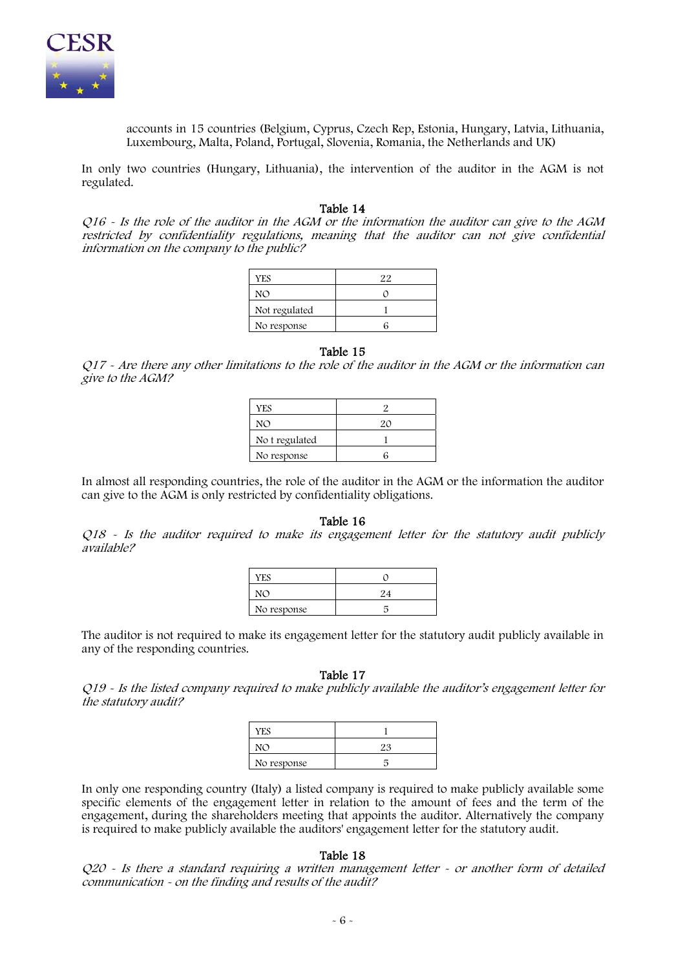

accounts in 15 countries (Belgium, Cyprus, Czech Rep, Estonia, Hungary, Latvia, Lithuania, Luxembourg, Malta, Poland, Portugal, Slovenia, Romania, the Netherlands and UK)

In only two countries (Hungary, Lithuania), the intervention of the auditor in the AGM is not regulated.

#### Table 14

Q16 - Is the role of the auditor in the AGM or the information the auditor can give to the AGM restricted by confidentiality regulations, meaning that the auditor can not give confidential information on the company to the public?

| <b>YES</b>    | 22 |
|---------------|----|
| NO            |    |
| Not regulated |    |
| No response   |    |

#### Table 15

Q17 - Are there any other limitations to the role of the auditor in the AGM or the information can give to the AGM?

| YES            |    |
|----------------|----|
| NO             | 2Ο |
| No t regulated |    |
| No response    |    |

In almost all responding countries, the role of the auditor in the AGM or the information the auditor can give to the AGM is only restricted by confidentiality obligations.

## Table 16

Q18 - Is the auditor required to make its engagement letter for the statutory audit publicly available?

| YES         |  |
|-------------|--|
| NO          |  |
| No response |  |

The auditor is not required to make its engagement letter for the statutory audit publicly available in any of the responding countries.

#### Table 17

Q19 - Is the listed company required to make publicly available the auditor's engagement letter for the statutory audit?

| <b>YES</b>  |    |
|-------------|----|
| $N\Omega$   | 92 |
| No response |    |

In only one responding country (Italy) a listed company is required to make publicly available some specific elements of the engagement letter in relation to the amount of fees and the term of the engagement, during the shareholders meeting that appoints the auditor. Alternatively the company is required to make publicly available the auditors' engagement letter for the statutory audit.

### Table 18

 $Q20$  - Is there a standard requiring a written management letter  $\sim$  or another form of detailed communication - on the finding and results of the audit?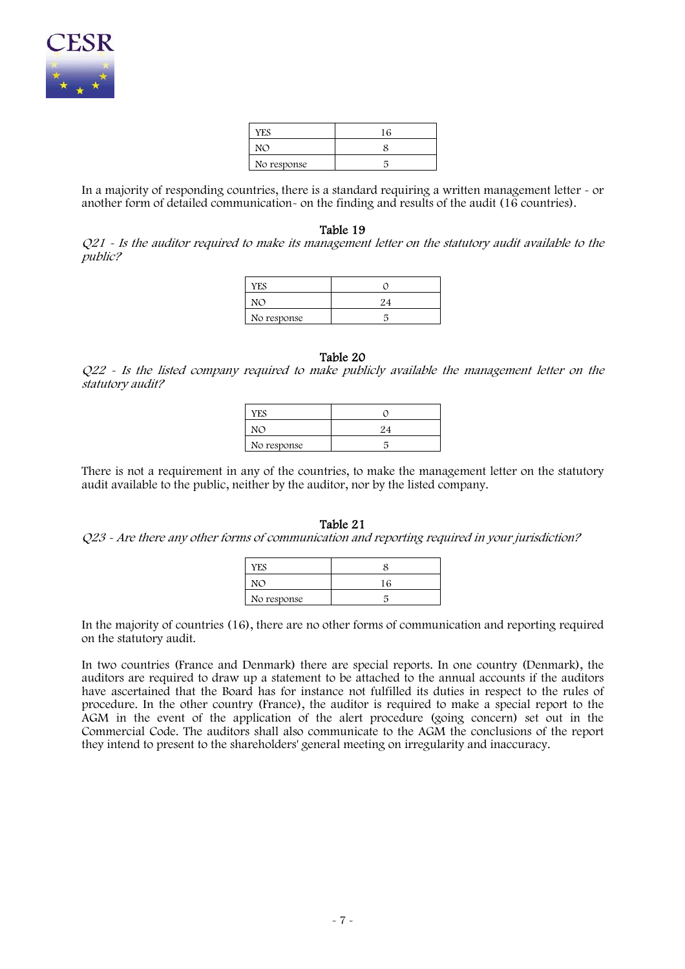

| YES         |  |
|-------------|--|
|             |  |
| No response |  |

In a majority of responding countries, there is a standard requiring a written management letter - or another form of detailed communication- on the finding and results of the audit (16 countries).

#### Table 19

Q21 - Is the auditor required to make its management letter on the statutory audit available to the public?

| YES         |    |
|-------------|----|
|             | 94 |
| No response |    |

### Table 20

Q22 - Is the listed company required to make publicly available the management letter on the statutory audit?

| <b>YES</b>  |  |
|-------------|--|
| N()         |  |
| No response |  |

There is not a requirement in any of the countries, to make the management letter on the statutory audit available to the public, neither by the auditor, nor by the listed company.

#### Table 21

### Q23 - Are there any other forms of communication and reporting required in your jurisdiction?

| <b>YES</b>  |    |
|-------------|----|
| $M\Omega$   | 16 |
| No response |    |

In the majority of countries (16), there are no other forms of communication and reporting required on the statutory audit.

In two countries (France and Denmark) there are special reports. In one country (Denmark), the auditors are required to draw up a statement to be attached to the annual accounts if the auditors have ascertained that the Board has for instance not fulfilled its duties in respect to the rules of procedure. In the other country (France), the auditor is required to make a special report to the AGM in the event of the application of the alert procedure (going concern) set out in the Commercial Code. The auditors shall also communicate to the AGM the conclusions of the report they intend to present to the shareholders' general meeting on irregularity and inaccuracy.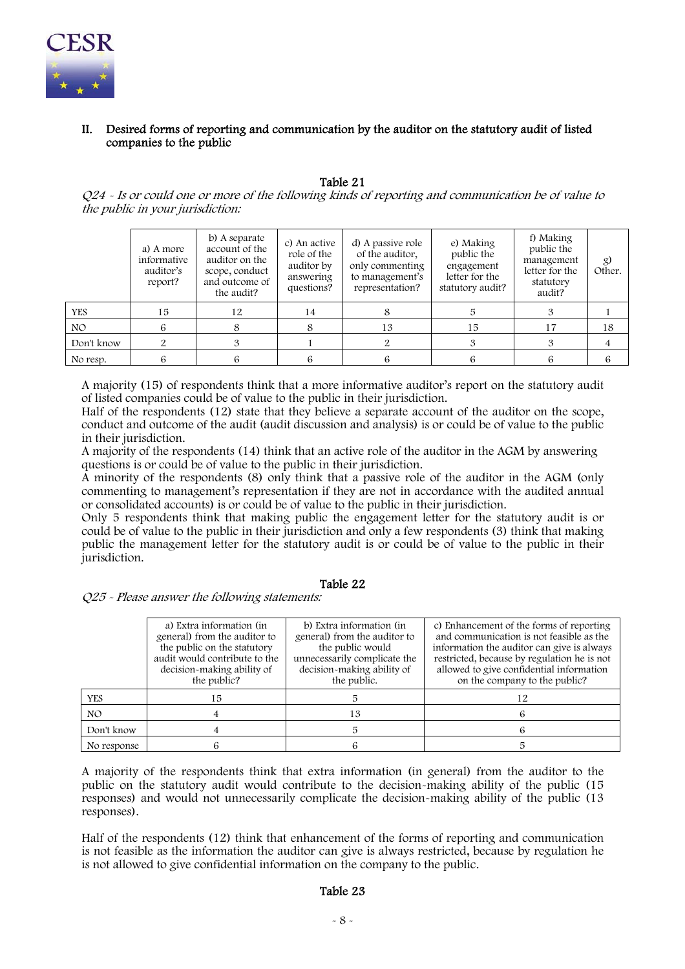

# II. Desired forms of reporting and communication by the auditor on the statutory audit of listed companies to the public

### Table 21

Q24 - Is or could one or more of the following kinds of reporting and communication be of value to the public in your jurisdiction:

|            | a) A more<br>informative<br>auditor's<br>report? | b) A separate<br>account of the<br>auditor on the<br>scope, conduct<br>and outcome of<br>the audit? | c) An active<br>role of the<br>auditor by<br>answering<br>questions? | d) A passive role<br>of the auditor,<br>only commenting<br>to management's<br>representation? | e) Making<br>public the<br>engagement<br>letter for the<br>statutory audit? | f) Making<br>public the<br>management<br>letter for the<br>statutory<br>audit? | $\chi$<br>Other. |
|------------|--------------------------------------------------|-----------------------------------------------------------------------------------------------------|----------------------------------------------------------------------|-----------------------------------------------------------------------------------------------|-----------------------------------------------------------------------------|--------------------------------------------------------------------------------|------------------|
| <b>YES</b> | 15                                               | 12                                                                                                  | 14                                                                   |                                                                                               |                                                                             |                                                                                |                  |
| NO.        | 6                                                |                                                                                                     |                                                                      | 13                                                                                            | 15                                                                          | 17                                                                             | 18               |
| Don't know |                                                  |                                                                                                     |                                                                      |                                                                                               |                                                                             |                                                                                |                  |
| No resp.   | b                                                |                                                                                                     | 6                                                                    |                                                                                               | h                                                                           |                                                                                |                  |

A majority (15) of respondents think that a more informative auditor's report on the statutory audit of listed companies could be of value to the public in their jurisdiction.

Half of the respondents (12) state that they believe a separate account of the auditor on the scope, conduct and outcome of the audit (audit discussion and analysis) is or could be of value to the public in their jurisdiction.

A majority of the respondents (14) think that an active role of the auditor in the AGM by answering questions is or could be of value to the public in their jurisdiction.

A minority of the respondents (8) only think that a passive role of the auditor in the AGM (only commenting to management's representation if they are not in accordance with the audited annual or consolidated accounts) is or could be of value to the public in their jurisdiction.

Only 5 respondents think that making public the engagement letter for the statutory audit is or could be of value to the public in their jurisdiction and only a few respondents (3) think that making public the management letter for the statutory audit is or could be of value to the public in their jurisdiction.

## Table 22

Q25 - Please answer the following statements:

|             | a) Extra information (in<br>general) from the auditor to<br>the public on the statutory<br>audit would contribute to the<br>decision-making ability of<br>the public? | b) Extra information (in<br>general) from the auditor to<br>the public would<br>unnecessarily complicate the<br>decision-making ability of<br>the public. | c) Enhancement of the forms of reporting<br>and communication is not feasible as the<br>information the auditor can give is always<br>restricted, because by regulation he is not<br>allowed to give confidential information<br>on the company to the public? |
|-------------|-----------------------------------------------------------------------------------------------------------------------------------------------------------------------|-----------------------------------------------------------------------------------------------------------------------------------------------------------|----------------------------------------------------------------------------------------------------------------------------------------------------------------------------------------------------------------------------------------------------------------|
| <b>YES</b>  | 15                                                                                                                                                                    |                                                                                                                                                           |                                                                                                                                                                                                                                                                |
| NO.         |                                                                                                                                                                       | 13                                                                                                                                                        |                                                                                                                                                                                                                                                                |
| Don't know  |                                                                                                                                                                       |                                                                                                                                                           |                                                                                                                                                                                                                                                                |
| No response |                                                                                                                                                                       |                                                                                                                                                           |                                                                                                                                                                                                                                                                |

A majority of the respondents think that extra information (in general) from the auditor to the public on the statutory audit would contribute to the decision-making ability of the public (15 responses) and would not unnecessarily complicate the decision-making ability of the public (13 responses).

Half of the respondents (12) think that enhancement of the forms of reporting and communication is not feasible as the information the auditor can give is always restricted, because by regulation he is not allowed to give confidential information on the company to the public.

# Table 23